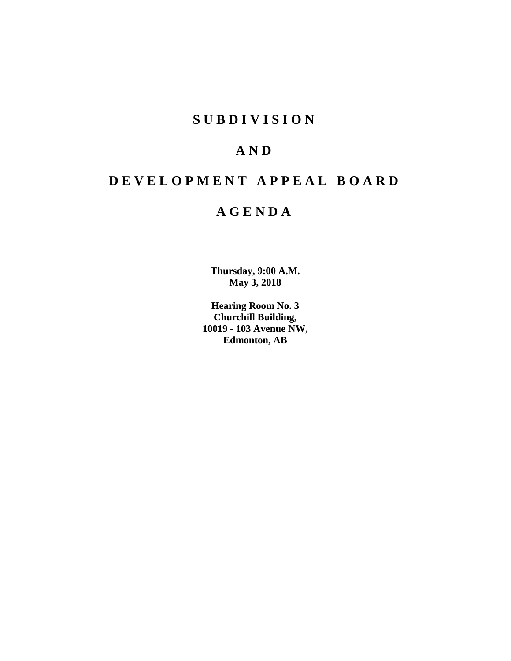# **SUBDIVISION**

# **AND**

# **DEVELOPMENT APPEAL BOARD**

# **AGENDA**

**Thursday, 9:00 A.M. May 3, 2018**

**Hearing Room No. 3 Churchill Building, 10019 - 103 Avenue NW, Edmonton, AB**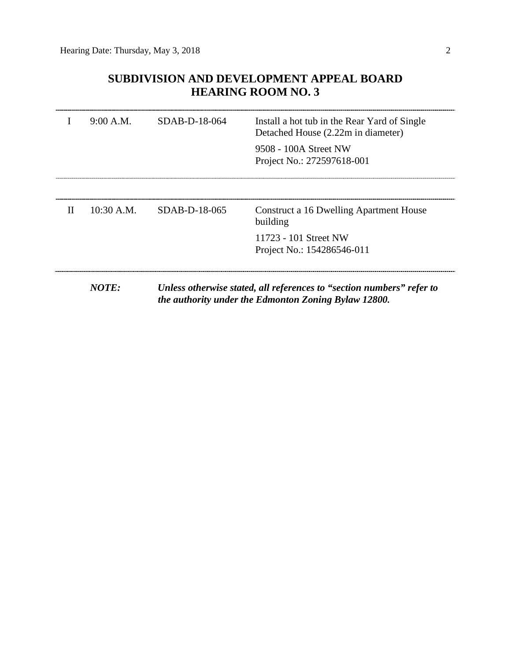# **SUBDIVISION AND DEVELOPMENT APPEAL BOARD HEARING ROOM NO. 3**

|   | 9:00 A.M.    | $SDAB-D-18-064$ | Install a hot tub in the Rear Yard of Single<br>Detached House (2.22m in diameter) |
|---|--------------|-----------------|------------------------------------------------------------------------------------|
|   |              |                 | 9508 - 100A Street NW<br>Project No.: 272597618-001                                |
|   |              |                 |                                                                                    |
| H | $10:30$ A.M. | SDAB-D-18-065   | Construct a 16 Dwelling Apartment House<br>building                                |
|   |              |                 | 11723 - 101 Street NW<br>Project No.: 154286546-011                                |
|   | NOTE:        |                 | Unless otherwise stated, all references to "section numbers" refer to              |
|   |              |                 | the authority under the Edmonton Zoning Bylaw 12800.                               |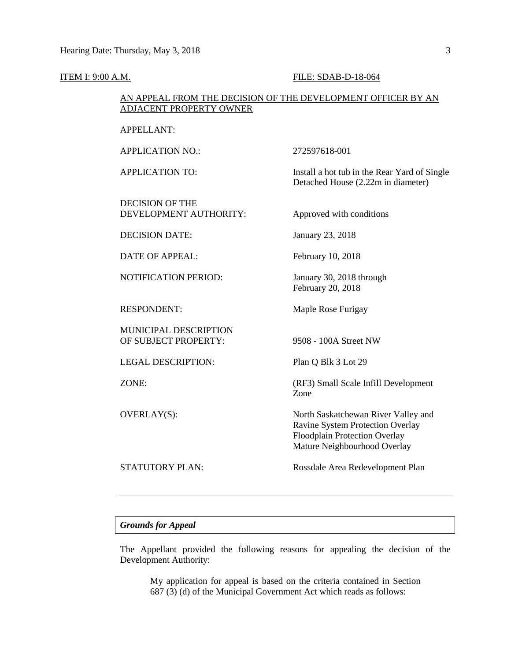#### **ITEM I: 9:00 A.M. FILE: SDAB-D-18-064**

February 20, 2018

Zone

Detached House (2.22m in diameter)

# AN APPEAL FROM THE DECISION OF THE DEVELOPMENT OFFICER BY AN ADJACENT PROPERTY OWNER

APPELLANT:

APPLICATION NO.: 272597618-001

APPLICATION TO: Install a hot tub in the Rear Yard of Single

DECISION OF THE DEVELOPMENT AUTHORITY: Approved with conditions

DECISION DATE: January 23, 2018

DATE OF APPEAL: February 10, 2018

NOTIFICATION PERIOD: January 30, 2018 through

RESPONDENT: Maple Rose Furigay

MUNICIPAL DESCRIPTION OF SUBJECT PROPERTY: 9508 - 100A Street NW

LEGAL DESCRIPTION: Plan Q Blk 3 Lot 29

ZONE: (RF3) Small Scale Infill Development

OVERLAY(S): North Saskatchewan River Valley and

STATUTORY PLAN: Rossdale Area Redevelopment Plan

Ravine System Protection Overlay Floodplain Protection Overlay Mature Neighbourhood Overlay

# *Grounds for Appeal*

The Appellant provided the following reasons for appealing the decision of the Development Authority:

My application for appeal is based on the criteria contained in Section 687 (3) (d) of the Municipal Government Act which reads as follows: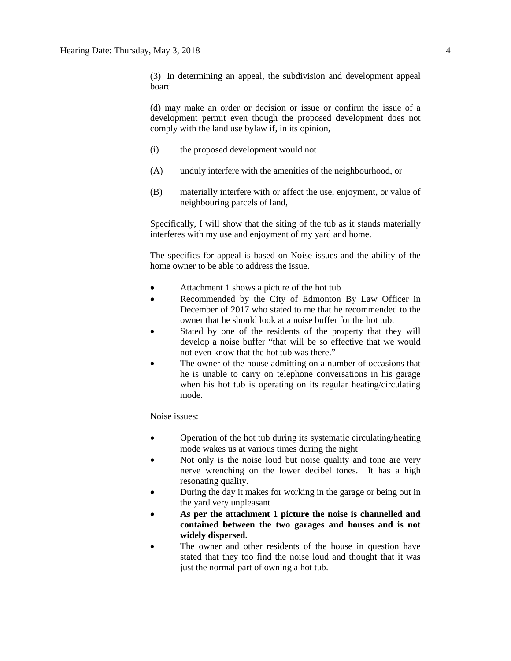(3) In determining an appeal, the subdivision and development appeal board

(d) may make an order or decision or issue or confirm the issue of a development permit even though the proposed development does not comply with the land use bylaw if, in its opinion,

- (i) the proposed development would not
- (A) unduly interfere with the amenities of the neighbourhood, or
- (B) materially interfere with or affect the use, enjoyment, or value of neighbouring parcels of land,

Specifically, I will show that the siting of the tub as it stands materially interferes with my use and enjoyment of my yard and home.

The specifics for appeal is based on Noise issues and the ability of the home owner to be able to address the issue.

- Attachment 1 shows a picture of the hot tub
- Recommended by the City of Edmonton By Law Officer in December of 2017 who stated to me that he recommended to the owner that he should look at a noise buffer for the hot tub.
- Stated by one of the residents of the property that they will develop a noise buffer "that will be so effective that we would not even know that the hot tub was there."
- The owner of the house admitting on a number of occasions that he is unable to carry on telephone conversations in his garage when his hot tub is operating on its regular heating/circulating mode.

Noise issues:

- Operation of the hot tub during its systematic circulating/heating mode wakes us at various times during the night
- Not only is the noise loud but noise quality and tone are very nerve wrenching on the lower decibel tones. It has a high resonating quality.
- During the day it makes for working in the garage or being out in the yard very unpleasant
- **As per the attachment 1 picture the noise is channelled and contained between the two garages and houses and is not widely dispersed.**
- The owner and other residents of the house in question have stated that they too find the noise loud and thought that it was just the normal part of owning a hot tub.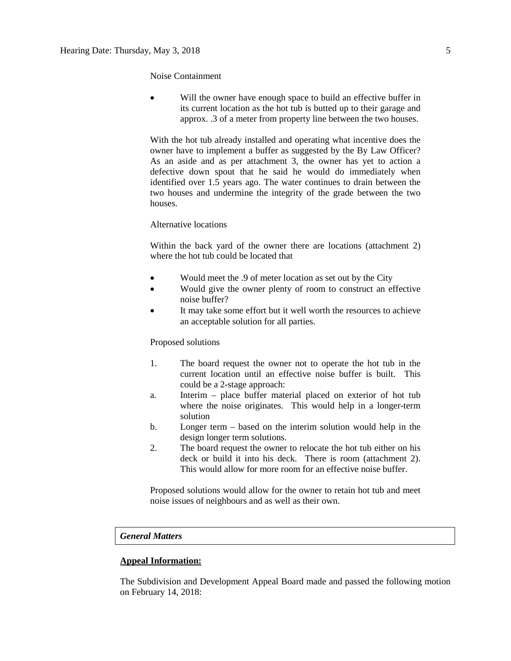Noise Containment

Will the owner have enough space to build an effective buffer in its current location as the hot tub is butted up to their garage and approx. .3 of a meter from property line between the two houses.

With the hot tub already installed and operating what incentive does the owner have to implement a buffer as suggested by the By Law Officer? As an aside and as per attachment 3, the owner has yet to action a defective down spout that he said he would do immediately when identified over 1.5 years ago. The water continues to drain between the two houses and undermine the integrity of the grade between the two houses.

## Alternative locations

Within the back yard of the owner there are locations (attachment 2) where the hot tub could be located that

- Would meet the .9 of meter location as set out by the City
- Would give the owner plenty of room to construct an effective noise buffer?
- It may take some effort but it well worth the resources to achieve an acceptable solution for all parties.

# Proposed solutions

- 1. The board request the owner not to operate the hot tub in the current location until an effective noise buffer is built. This could be a 2-stage approach:
- a. Interim place buffer material placed on exterior of hot tub where the noise originates. This would help in a longer-term solution
- b. Longer term based on the interim solution would help in the design longer term solutions.
- 2. The board request the owner to relocate the hot tub either on his deck or build it into his deck. There is room (attachment 2). This would allow for more room for an effective noise buffer.

Proposed solutions would allow for the owner to retain hot tub and meet noise issues of neighbours and as well as their own.

# *General Matters*

# **Appeal Information:**

The Subdivision and Development Appeal Board made and passed the following motion on February 14, 2018: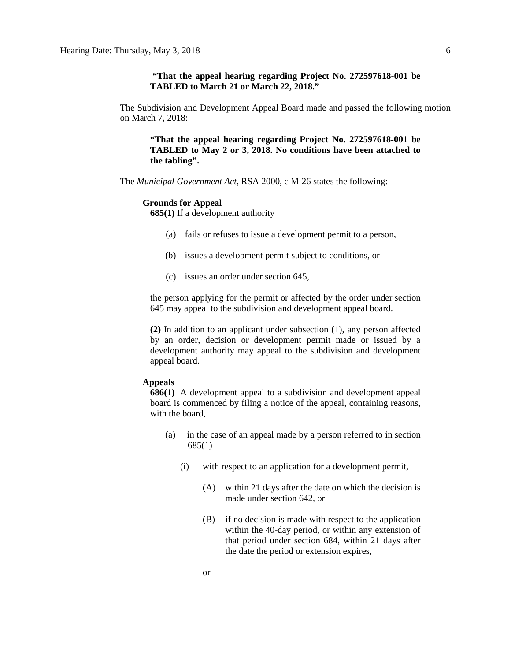# **"That the appeal hearing regarding Project No. 272597618-001 be TABLED to March 21 or March 22, 2018."**

The Subdivision and Development Appeal Board made and passed the following motion on March 7, 2018:

**"That the appeal hearing regarding Project No. 272597618-001 be TABLED to May 2 or 3, 2018. No conditions have been attached to the tabling".**

The *Municipal Government Act*, RSA 2000, c M-26 states the following:

#### **Grounds for Appeal**

**685(1)** If a development authority

- (a) fails or refuses to issue a development permit to a person,
- (b) issues a development permit subject to conditions, or
- (c) issues an order under section 645,

the person applying for the permit or affected by the order under section 645 may appeal to the subdivision and development appeal board.

**(2)** In addition to an applicant under subsection (1), any person affected by an order, decision or development permit made or issued by a development authority may appeal to the subdivision and development appeal board.

#### **Appeals**

**686(1)** A development appeal to a subdivision and development appeal board is commenced by filing a notice of the appeal, containing reasons, with the board,

- (a) in the case of an appeal made by a person referred to in section 685(1)
	- (i) with respect to an application for a development permit,
		- (A) within 21 days after the date on which the decision is made under section 642, or
		- (B) if no decision is made with respect to the application within the 40-day period, or within any extension of that period under section 684, within 21 days after the date the period or extension expires,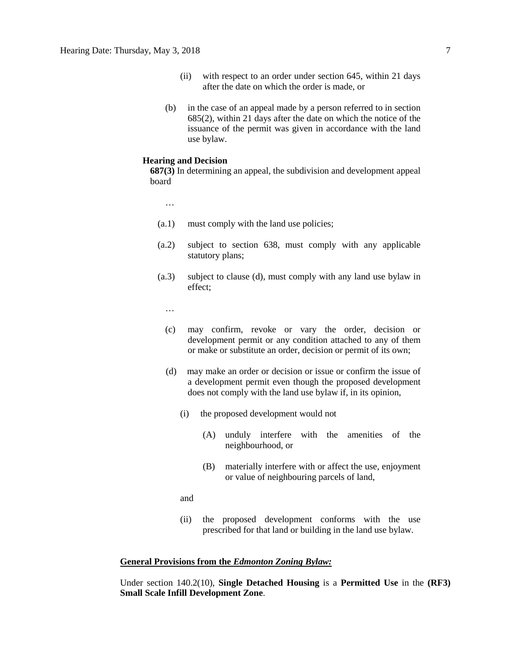- (ii) with respect to an order under section 645, within 21 days after the date on which the order is made, or
- (b) in the case of an appeal made by a person referred to in section 685(2), within 21 days after the date on which the notice of the issuance of the permit was given in accordance with the land use bylaw.

#### **Hearing and Decision**

**687(3)** In determining an appeal, the subdivision and development appeal board

…

- (a.1) must comply with the land use policies;
- (a.2) subject to section 638, must comply with any applicable statutory plans;
- (a.3) subject to clause (d), must comply with any land use bylaw in effect;

…

- (c) may confirm, revoke or vary the order, decision or development permit or any condition attached to any of them or make or substitute an order, decision or permit of its own;
- (d) may make an order or decision or issue or confirm the issue of a development permit even though the proposed development does not comply with the land use bylaw if, in its opinion,
	- (i) the proposed development would not
		- (A) unduly interfere with the amenities of the neighbourhood, or
		- (B) materially interfere with or affect the use, enjoyment or value of neighbouring parcels of land,

and

(ii) the proposed development conforms with the use prescribed for that land or building in the land use bylaw.

## **General Provisions from the** *Edmonton Zoning Bylaw:*

Under section 140.2(10), **Single Detached Housing** is a **Permitted Use** in the **(RF3) Small Scale Infill Development Zone**.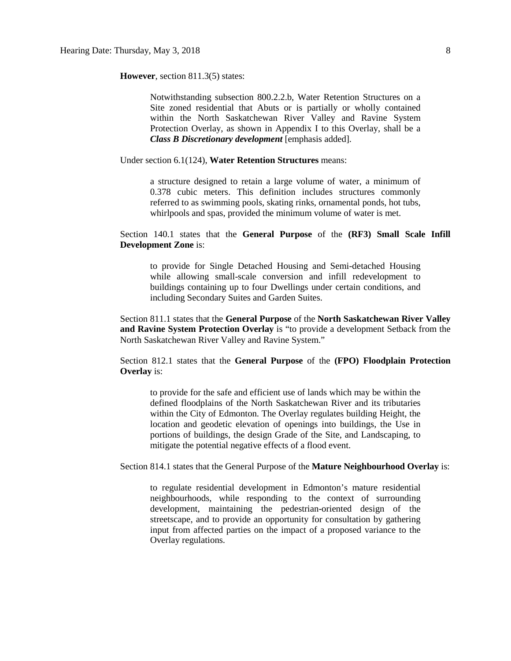## **However**, section 811.3(5) states:

Notwithstanding subsection 800.2.2.b, Water Retention Structures on a Site zoned residential that Abuts or is partially or wholly contained within the North Saskatchewan River Valley and Ravine System Protection Overlay, as shown in Appendix I to this Overlay, shall be a *Class B Discretionary development* [emphasis added].

Under section 6.1(124), **Water Retention Structures** means:

a structure designed to retain a large volume of water, a minimum of 0.378 cubic meters. This definition includes structures commonly referred to as swimming pools, skating rinks, ornamental ponds, hot tubs, whirlpools and spas, provided the minimum volume of water is met.

Section 140.1 states that the **General Purpose** of the **(RF3) Small Scale Infill Development Zone** is:

to provide for Single Detached Housing and Semi-detached Housing while allowing small-scale conversion and infill redevelopment to buildings containing up to four Dwellings under certain conditions, and including Secondary Suites and Garden Suites.

Section 811.1 states that the **General Purpose** of the **North Saskatchewan River Valley and Ravine System Protection Overlay** is "to provide a development Setback from the North Saskatchewan River Valley and Ravine System."

Section 812.1 states that the **General Purpose** of the **(FPO) Floodplain Protection Overlay** is:

to provide for the safe and efficient use of lands which may be within the defined floodplains of the North Saskatchewan River and its tributaries within the City of Edmonton. The Overlay regulates building Height, the location and geodetic elevation of openings into buildings, the Use in portions of buildings, the design Grade of the Site, and Landscaping, to mitigate the potential negative effects of a flood event.

Section 814.1 states that the General Purpose of the **Mature Neighbourhood Overlay** is:

to regulate residential development in Edmonton's mature residential neighbourhoods, while responding to the context of surrounding development, maintaining the pedestrian-oriented design of the streetscape, and to provide an opportunity for consultation by gathering input from affected parties on the impact of a proposed variance to the Overlay regulations.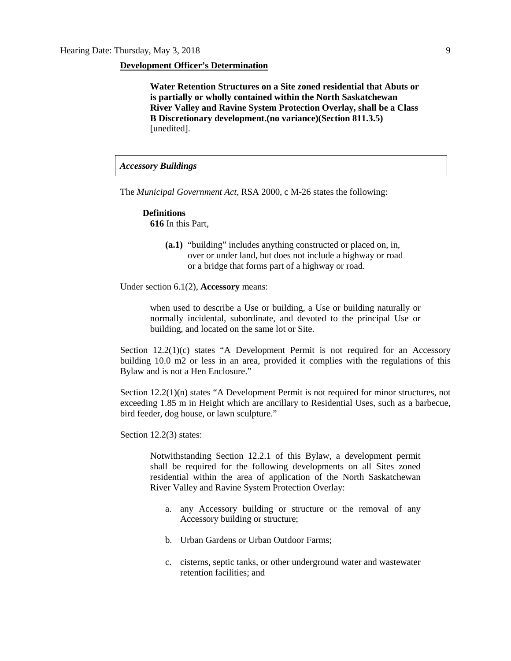#### **Development Officer's Determination**

**Water Retention Structures on a Site zoned residential that Abuts or is partially or wholly contained within the North Saskatchewan River Valley and Ravine System Protection Overlay, shall be a Class B Discretionary development.(no variance)(Section 811.3.5)**  [unedited].

# *Accessory Buildings*

The *Municipal Government Act*, RSA 2000, c M-26 states the following:

# **Definitions 616** In this Part,

**(a.1)** "building" includes anything constructed or placed on, in, over or under land, but does not include a highway or road or a bridge that forms part of a highway or road.

Under section 6.1(2), **Accessory** means:

when used to describe a Use or building, a Use or building naturally or normally incidental, subordinate, and devoted to the principal Use or building, and located on the same lot or Site.

Section  $12.2(1)(c)$  states "A Development Permit is not required for an Accessory building 10.0 m2 or less in an area, provided it complies with the regulations of this Bylaw and is not a Hen Enclosure."

Section 12.2(1)(n) states "A Development Permit is not required for minor structures, not exceeding 1.85 m in Height which are ancillary to Residential Uses, such as a barbecue, bird feeder, dog house, or lawn sculpture."

Section 12.2(3) states:

Notwithstanding Section 12.2.1 of this Bylaw, a development permit shall be required for the following developments on all Sites zoned residential within the area of application of the North Saskatchewan River Valley and Ravine System Protection Overlay:

- a. any Accessory building or structure or the removal of any Accessory building or structure;
- b. Urban Gardens or Urban Outdoor Farms;
- c. cisterns, septic tanks, or other underground water and wastewater retention facilities; and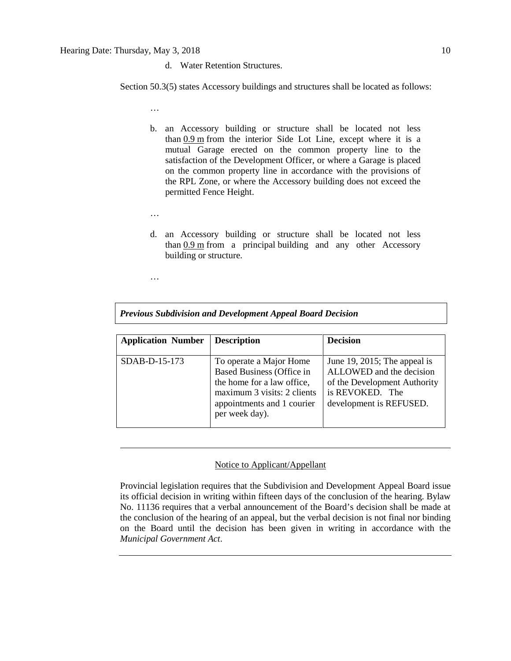d. Water Retention Structures.

Section 50.3(5) states Accessory buildings and structures shall be located as follows:

…

- b. an Accessory building or structure shall be located not less than [0.9](javascript:void(0);) m from the interior Side Lot Line, except where it is a mutual Garage erected on the common property line to the satisfaction of the Development Officer, or where a Garage is placed on the common property line in accordance with the provisions of the RPL Zone, or where the Accessory building does not exceed the permitted Fence Height.
- …
- d. an Accessory building or structure shall be located not less than [0.9](javascript:void(0);) m from a principal building and any other Accessory building or structure.

…

|  |  |  |  |  | Previous Subdivision and Development Appeal Board Decision |
|--|--|--|--|--|------------------------------------------------------------|
|--|--|--|--|--|------------------------------------------------------------|

| <b>Application Number</b> | <b>Description</b>                                                                                                                                                       | <b>Decision</b>                                                                                                                        |
|---------------------------|--------------------------------------------------------------------------------------------------------------------------------------------------------------------------|----------------------------------------------------------------------------------------------------------------------------------------|
| SDAB-D-15-173             | To operate a Major Home<br><b>Based Business (Office in</b><br>the home for a law office,<br>maximum 3 visits: 2 clients<br>appointments and 1 courier<br>per week day). | June 19, 2015; The appeal is<br>ALLOWED and the decision<br>of the Development Authority<br>is REVOKED. The<br>development is REFUSED. |

# Notice to Applicant/Appellant

Provincial legislation requires that the Subdivision and Development Appeal Board issue its official decision in writing within fifteen days of the conclusion of the hearing. Bylaw No. 11136 requires that a verbal announcement of the Board's decision shall be made at the conclusion of the hearing of an appeal, but the verbal decision is not final nor binding on the Board until the decision has been given in writing in accordance with the *Municipal Government Act*.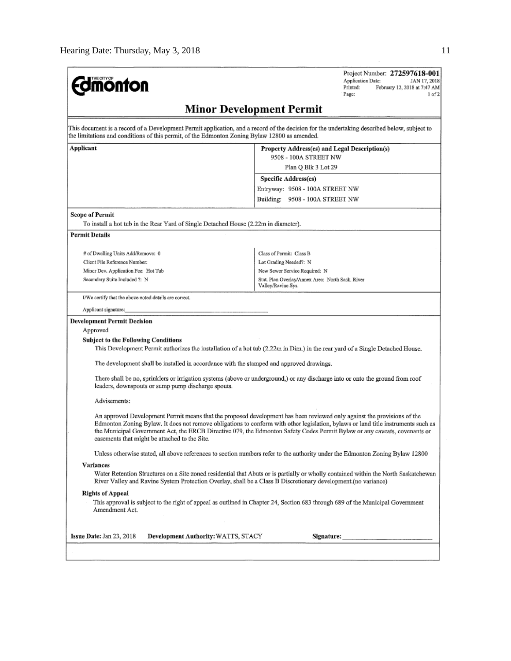| <b>dmonton</b>                                                                                                                                                                                                                                                                                        |                                 | Project Number: 272597618-001<br><b>Application Date:</b><br>JAN 17, 2018<br>Printed:<br>February 12, 2018 at 7:47 AM<br>Page:<br>1 <sub>of</sub> 2 |
|-------------------------------------------------------------------------------------------------------------------------------------------------------------------------------------------------------------------------------------------------------------------------------------------------------|---------------------------------|-----------------------------------------------------------------------------------------------------------------------------------------------------|
|                                                                                                                                                                                                                                                                                                       | <b>Minor Development Permit</b> |                                                                                                                                                     |
| This document is a record of a Development Permit application, and a record of the decision for the undertaking described below, subject to<br>the limitations and conditions of this permit, of the Edmonton Zoning Bylaw 12800 as amended.                                                          |                                 |                                                                                                                                                     |
| <b>Applicant</b>                                                                                                                                                                                                                                                                                      |                                 | Property Address(es) and Legal Description(s)                                                                                                       |
|                                                                                                                                                                                                                                                                                                       |                                 | 9508 - 100A STREET NW                                                                                                                               |
|                                                                                                                                                                                                                                                                                                       |                                 | Plan Q Blk 3 Lot 29                                                                                                                                 |
|                                                                                                                                                                                                                                                                                                       | Specific Address(es)            |                                                                                                                                                     |
|                                                                                                                                                                                                                                                                                                       |                                 | Entryway: 9508 - 100A STREET NW                                                                                                                     |
|                                                                                                                                                                                                                                                                                                       |                                 | Building: 9508 - 100A STREET NW                                                                                                                     |
| Scope of Permit<br>To install a hot tub in the Rear Yard of Single Detached House (2.22m in diameter).                                                                                                                                                                                                |                                 |                                                                                                                                                     |
| <b>Permit Details</b>                                                                                                                                                                                                                                                                                 |                                 |                                                                                                                                                     |
|                                                                                                                                                                                                                                                                                                       |                                 |                                                                                                                                                     |
| # of Dwelling Units Add/Remove: 0                                                                                                                                                                                                                                                                     | Class of Permit: Class B        |                                                                                                                                                     |
| Client File Reference Number:                                                                                                                                                                                                                                                                         | Lot Grading Needed?: N          |                                                                                                                                                     |
| Minor Dev. Application Fee: Hot Tub                                                                                                                                                                                                                                                                   | New Sewer Service Required: N   |                                                                                                                                                     |
| Secondary Suite Included ?: N                                                                                                                                                                                                                                                                         | Valley/Ravine Sys.              | Stat, Plan Overlay/Annex Area: North Sask, River                                                                                                    |
| I/We certify that the above noted details are correct.                                                                                                                                                                                                                                                |                                 |                                                                                                                                                     |
| Applicant signature:                                                                                                                                                                                                                                                                                  |                                 |                                                                                                                                                     |
| <b>Development Permit Decision</b>                                                                                                                                                                                                                                                                    |                                 |                                                                                                                                                     |
| Approved                                                                                                                                                                                                                                                                                              |                                 |                                                                                                                                                     |
| <b>Subject to the Following Conditions</b>                                                                                                                                                                                                                                                            |                                 |                                                                                                                                                     |
| This Development Permit authorizes the installation of a hot tub (2.22m in Dim.) in the rear yard of a Single Detached House.                                                                                                                                                                         |                                 |                                                                                                                                                     |
| The development shall be installed in accordance with the stamped and approved drawings.                                                                                                                                                                                                              |                                 |                                                                                                                                                     |
| There shall be no, sprinklers or irrigation systems (above or underground,) or any discharge into or onto the ground from roof<br>leaders, downspouts or sump pump discharge spouts.                                                                                                                  |                                 |                                                                                                                                                     |
| Advisements:                                                                                                                                                                                                                                                                                          |                                 |                                                                                                                                                     |
| An approved Development Permit means that the proposed development has been reviewed only against the provisions of the<br>the Municipal Government Act, the ERCB Directive 079, the Edmonton Safety Codes Permit Bylaw or any caveats, covenants or<br>easements that might be attached to the Site. |                                 | Edmonton Zoning Bylaw. It does not remove obligations to conform with other legislation, bylaws or land title instruments such as                   |
| Unless otherwise stated, all above references to section numbers refer to the authority under the Edmonton Zoning Bylaw 12800                                                                                                                                                                         |                                 |                                                                                                                                                     |
| Variances                                                                                                                                                                                                                                                                                             |                                 |                                                                                                                                                     |
| River Valley and Ravine System Protection Overlay, shall be a Class B Discretionary development (no variance)                                                                                                                                                                                         |                                 | Water Retention Structures on a Site zoned residential that Abuts or is partially or wholly contained within the North Saskatchewan                 |
| <b>Rights of Appeal</b>                                                                                                                                                                                                                                                                               |                                 |                                                                                                                                                     |
| This approval is subject to the right of appeal as outlined in Chapter 24, Section 683 through 689 of the Municipal Government<br>Amendment Act.                                                                                                                                                      |                                 |                                                                                                                                                     |
| Issue Date: Jan 23, 2018<br>Development Authority: WATTS, STACY                                                                                                                                                                                                                                       |                                 | Signature:                                                                                                                                          |
|                                                                                                                                                                                                                                                                                                       |                                 |                                                                                                                                                     |
|                                                                                                                                                                                                                                                                                                       |                                 |                                                                                                                                                     |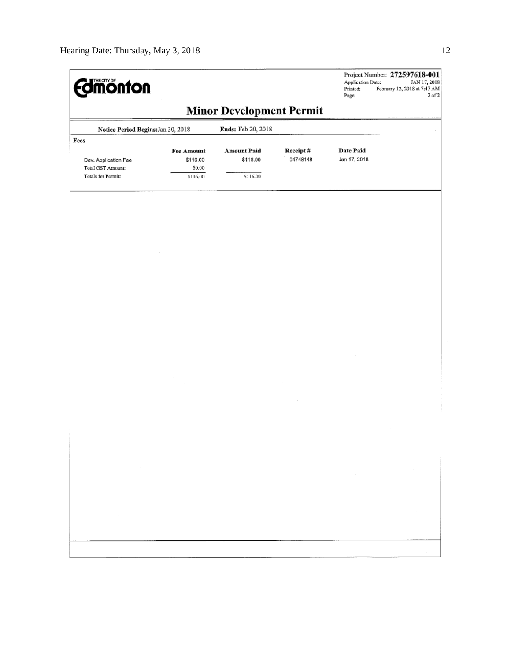| <b>Imonton</b>                                                          |                                              |                                            |                      | Application Date:<br>Printed:<br>Page: | Project Number: 272597618-001<br>JAN 17, 2018<br>February 12, 2018 at 7:47 AM<br>$2$ of $2$ |
|-------------------------------------------------------------------------|----------------------------------------------|--------------------------------------------|----------------------|----------------------------------------|---------------------------------------------------------------------------------------------|
|                                                                         |                                              | <b>Minor Development Permit</b>            |                      |                                        |                                                                                             |
| Notice Period Begins: Jan 30, 2018                                      |                                              | Ends: Feb 20, 2018                         |                      |                                        |                                                                                             |
| Fees<br>Dev. Application Fee<br>Total GST Amount:<br>Totals for Permit: | Fee Amount<br>\$116.00<br>\$0.00<br>\$116.00 | <b>Amount Paid</b><br>\$116.00<br>\$116.00 | Receipt#<br>04748148 | <b>Date Paid</b><br>Jan 17, 2018       |                                                                                             |
|                                                                         |                                              |                                            |                      |                                        |                                                                                             |
|                                                                         |                                              |                                            |                      |                                        |                                                                                             |
|                                                                         |                                              |                                            |                      |                                        |                                                                                             |
|                                                                         |                                              |                                            |                      |                                        |                                                                                             |
|                                                                         |                                              |                                            |                      |                                        |                                                                                             |
|                                                                         |                                              |                                            |                      |                                        |                                                                                             |
|                                                                         |                                              |                                            |                      |                                        |                                                                                             |
|                                                                         |                                              |                                            |                      | $\sim$                                 |                                                                                             |
|                                                                         |                                              |                                            |                      |                                        |                                                                                             |
|                                                                         |                                              |                                            |                      |                                        |                                                                                             |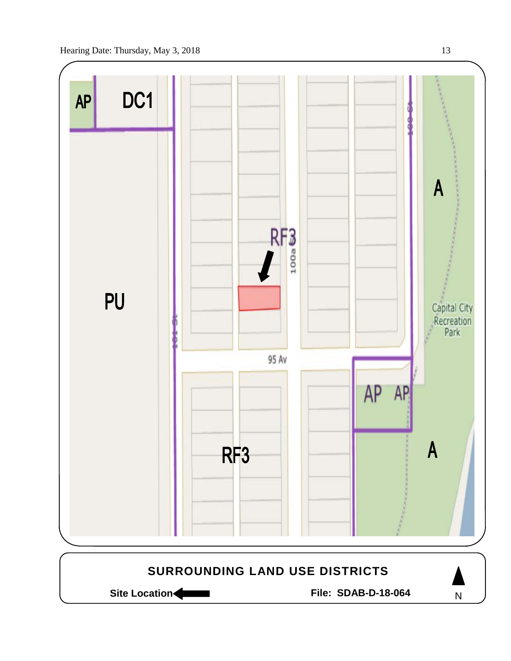

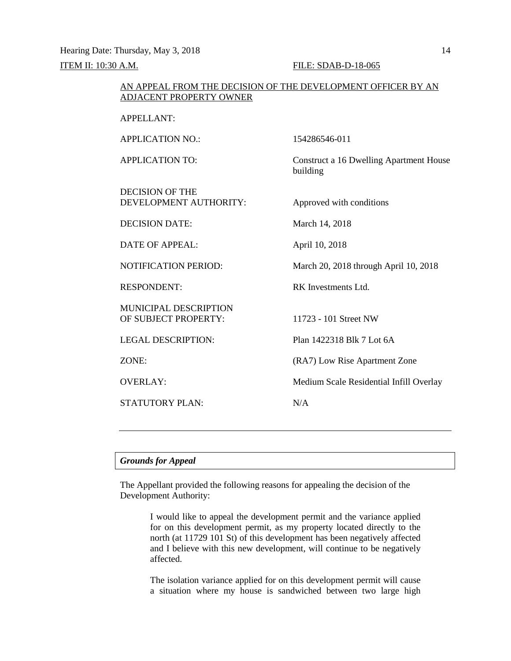Hearing Date: Thursday, May 3, 2018 14 ITEM II: 10:30 A.M. FILE: SDAB-D-18-065

# AN APPEAL FROM THE DECISION OF THE DEVELOPMENT OFFICER BY AN ADJACENT PROPERTY OWNER

APPELLANT:

APPLICATION NO.: 154286546-011 APPLICATION TO: Construct a 16 Dwelling Apartment House building DECISION OF THE DEVELOPMENT AUTHORITY: Approved with conditions DECISION DATE: March 14, 2018 DATE OF APPEAL: April 10, 2018 NOTIFICATION PERIOD: March 20, 2018 through April 10, 2018 RESPONDENT: RK Investments Ltd. MUNICIPAL DESCRIPTION OF SUBJECT PROPERTY: 11723 - 101 Street NW LEGAL DESCRIPTION: Plan 1422318 Blk 7 Lot 6A ZONE: (RA7) Low Rise Apartment Zone OVERLAY: Medium Scale Residential Infill Overlay STATUTORY PLAN: N/A

# *Grounds for Appeal*

The Appellant provided the following reasons for appealing the decision of the Development Authority:

> I would like to appeal the development permit and the variance applied for on this development permit, as my property located directly to the north (at 11729 101 St) of this development has been negatively affected and I believe with this new development, will continue to be negatively affected.

> The isolation variance applied for on this development permit will cause a situation where my house is sandwiched between two large high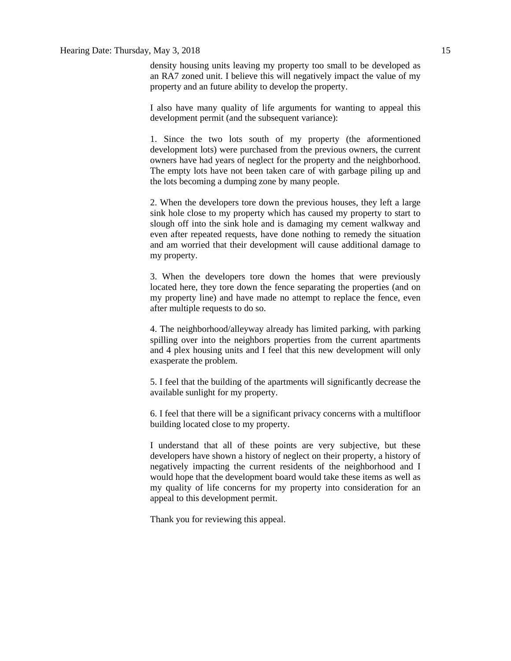# Hearing Date: Thursday, May 3, 2018 15

density housing units leaving my property too small to be developed as an RA7 zoned unit. I believe this will negatively impact the value of my property and an future ability to develop the property.

I also have many quality of life arguments for wanting to appeal this development permit (and the subsequent variance):

1. Since the two lots south of my property (the aformentioned development lots) were purchased from the previous owners, the current owners have had years of neglect for the property and the neighborhood. The empty lots have not been taken care of with garbage piling up and the lots becoming a dumping zone by many people.

2. When the developers tore down the previous houses, they left a large sink hole close to my property which has caused my property to start to slough off into the sink hole and is damaging my cement walkway and even after repeated requests, have done nothing to remedy the situation and am worried that their development will cause additional damage to my property.

3. When the developers tore down the homes that were previously located here, they tore down the fence separating the properties (and on my property line) and have made no attempt to replace the fence, even after multiple requests to do so.

4. The neighborhood/alleyway already has limited parking, with parking spilling over into the neighbors properties from the current apartments and 4 plex housing units and I feel that this new development will only exasperate the problem.

5. I feel that the building of the apartments will significantly decrease the available sunlight for my property.

6. I feel that there will be a significant privacy concerns with a multifloor building located close to my property.

I understand that all of these points are very subjective, but these developers have shown a history of neglect on their property, a history of negatively impacting the current residents of the neighborhood and I would hope that the development board would take these items as well as my quality of life concerns for my property into consideration for an appeal to this development permit.

Thank you for reviewing this appeal.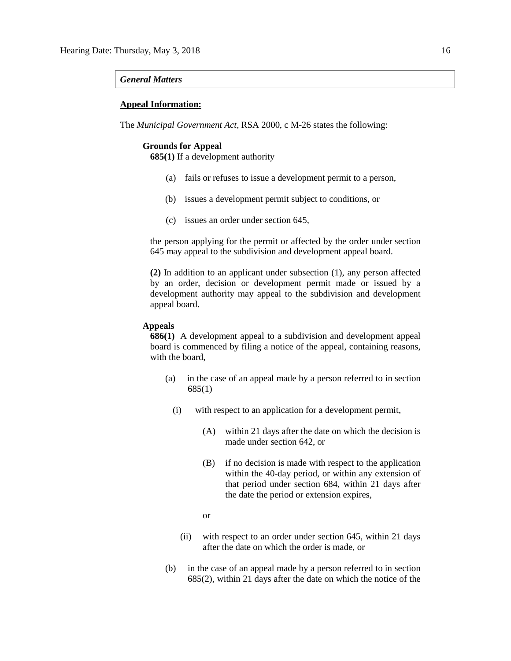## *General Matters*

# **Appeal Information:**

The *Municipal Government Act*, RSA 2000, c M-26 states the following:

# **Grounds for Appeal**

**685(1)** If a development authority

- (a) fails or refuses to issue a development permit to a person,
- (b) issues a development permit subject to conditions, or
- (c) issues an order under section 645,

the person applying for the permit or affected by the order under section 645 may appeal to the subdivision and development appeal board.

**(2)** In addition to an applicant under subsection (1), any person affected by an order, decision or development permit made or issued by a development authority may appeal to the subdivision and development appeal board.

# **Appeals**

**686(1)** A development appeal to a subdivision and development appeal board is commenced by filing a notice of the appeal, containing reasons, with the board,

- (a) in the case of an appeal made by a person referred to in section 685(1)
	- (i) with respect to an application for a development permit,
		- (A) within 21 days after the date on which the decision is made under section 642, or
		- (B) if no decision is made with respect to the application within the 40-day period, or within any extension of that period under section 684, within 21 days after the date the period or extension expires,
		- or
		- (ii) with respect to an order under section 645, within 21 days after the date on which the order is made, or
- (b) in the case of an appeal made by a person referred to in section 685(2), within 21 days after the date on which the notice of the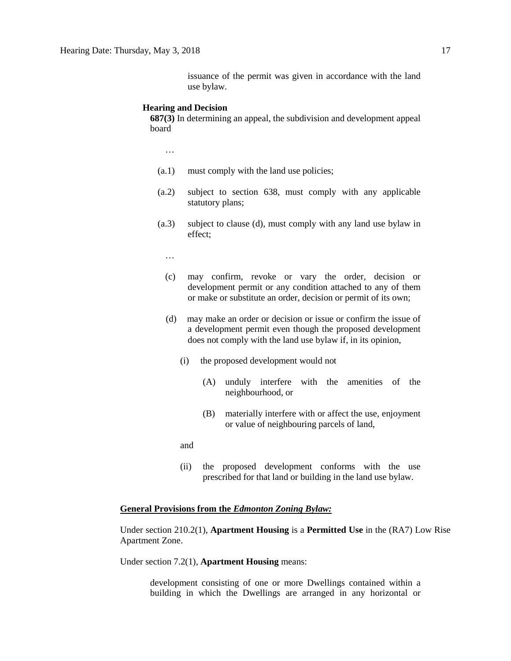issuance of the permit was given in accordance with the land use bylaw.

#### **Hearing and Decision**

**687(3)** In determining an appeal, the subdivision and development appeal board

…

- (a.1) must comply with the land use policies;
- (a.2) subject to section 638, must comply with any applicable statutory plans;
- (a.3) subject to clause (d), must comply with any land use bylaw in effect;

…

- (c) may confirm, revoke or vary the order, decision or development permit or any condition attached to any of them or make or substitute an order, decision or permit of its own;
- (d) may make an order or decision or issue or confirm the issue of a development permit even though the proposed development does not comply with the land use bylaw if, in its opinion,
	- (i) the proposed development would not
		- (A) unduly interfere with the amenities of the neighbourhood, or
		- (B) materially interfere with or affect the use, enjoyment or value of neighbouring parcels of land,

and

(ii) the proposed development conforms with the use prescribed for that land or building in the land use bylaw.

# **General Provisions from the** *Edmonton Zoning Bylaw:*

Under section 210.2(1), **Apartment Housing** is a **Permitted Use** in the (RA7) Low Rise Apartment Zone.

Under section 7.2(1), **Apartment Housing** means:

development consisting of one or more Dwellings contained within a building in which the Dwellings are arranged in any horizontal or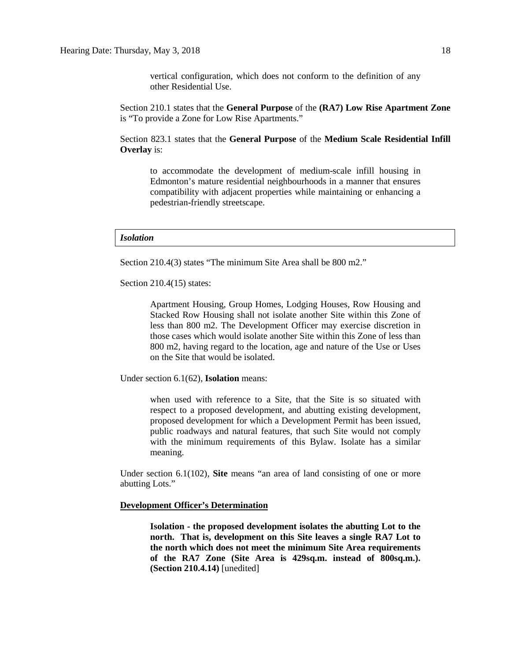vertical configuration, which does not conform to the definition of any other Residential Use.

Section 210.1 states that the **General Purpose** of the **(RA7) Low Rise Apartment Zone**  is "To provide a Zone for Low Rise Apartments."

Section 823.1 states that the **General Purpose** of the **Medium Scale Residential Infill Overlay** is:

to accommodate the development of medium-scale infill housing in Edmonton's mature residential neighbourhoods in a manner that ensures compatibility with adjacent properties while maintaining or enhancing a pedestrian-friendly streetscape.

### *Isolation*

Section 210.4(3) states "The minimum Site Area shall be 800 m2."

Section 210.4(15) states:

Apartment Housing, Group Homes, Lodging Houses, Row Housing and Stacked Row Housing shall not isolate another Site within this Zone of less than 800 m2. The Development Officer may exercise discretion in those cases which would isolate another Site within this Zone of less than 800 m2, having regard to the location, age and nature of the Use or Uses on the Site that would be isolated.

Under section 6.1(62), **Isolation** means:

when used with reference to a Site, that the Site is so situated with respect to a proposed development, and abutting existing development, proposed development for which a Development Permit has been issued, public roadways and natural features, that such Site would not comply with the minimum requirements of this Bylaw. Isolate has a similar meaning.

Under section 6.1(102), **Site** means "an area of land consisting of one or more abutting Lots."

# **Development Officer's Determination**

**Isolation - the proposed development isolates the abutting Lot to the north. That is, development on this Site leaves a single RA7 Lot to the north which does not meet the minimum Site Area requirements of the RA7 Zone (Site Area is 429sq.m. instead of 800sq.m.). (Section 210.4.14)** [unedited]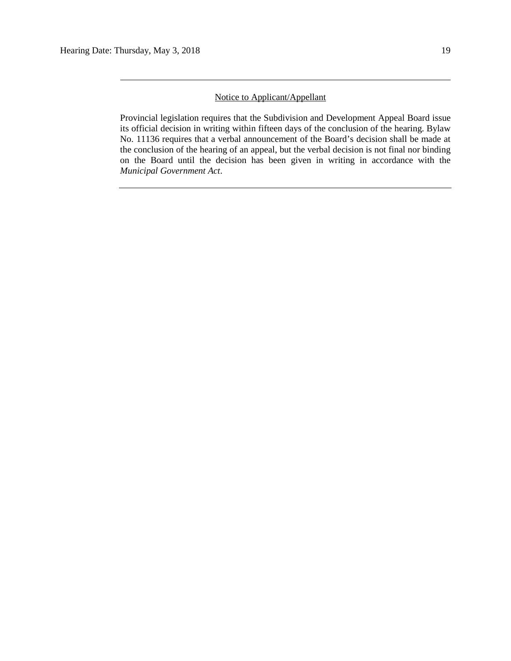# Notice to Applicant/Appellant

Provincial legislation requires that the Subdivision and Development Appeal Board issue its official decision in writing within fifteen days of the conclusion of the hearing. Bylaw No. 11136 requires that a verbal announcement of the Board's decision shall be made at the conclusion of the hearing of an appeal, but the verbal decision is not final nor binding on the Board until the decision has been given in writing in accordance with the *Municipal Government Act*.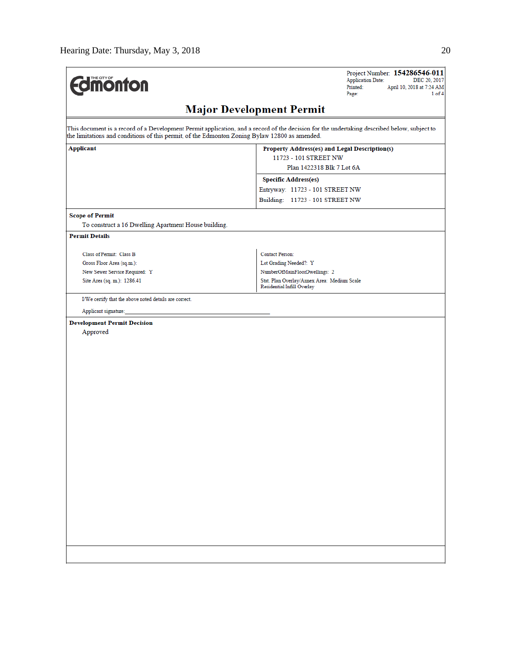| <b>difficultion</b>                                                                           | Project Number: 154286546-011<br><b>Application Date:</b><br>DEC 20, 2017<br>Printed:<br>April 10, 2018 at 7:24 AM<br>Page:<br>1 of 4       |
|-----------------------------------------------------------------------------------------------|---------------------------------------------------------------------------------------------------------------------------------------------|
|                                                                                               | <b>Major Development Permit</b>                                                                                                             |
| the limitations and conditions of this permit, of the Edmonton Zoning Bylaw 12800 as amended. | This document is a record of a Development Permit application, and a record of the decision for the undertaking described below, subject to |
| Applicant                                                                                     | Property Address(es) and Legal Description(s)<br>11723 - 101 STREET NW<br>Plan 1422318 Blk 7 Lot 6A                                         |
|                                                                                               | <b>Specific Address(es)</b>                                                                                                                 |
|                                                                                               | Entryway: 11723 - 101 STREET NW                                                                                                             |
|                                                                                               | Building: 11723 - 101 STREET NW                                                                                                             |
| <b>Scope of Permit</b>                                                                        |                                                                                                                                             |
| To construct a 16 Dwelling Apartment House building.                                          |                                                                                                                                             |
| <b>Permit Details</b>                                                                         |                                                                                                                                             |
| Class of Permit: Class B                                                                      | <b>Contact Person:</b>                                                                                                                      |
| Gross Floor Area (sq.m.):                                                                     | Lot Grading Needed?: Y                                                                                                                      |
| New Sewer Service Required: Y                                                                 | NumberOfMainFloorDwellings: 2                                                                                                               |
| Site Area (sq. m.): 1286.41                                                                   | Stat. Plan Overlay/Annex Area: Medium Scale<br>Residential Infill Overlay                                                                   |
| I/We certify that the above noted details are correct.                                        |                                                                                                                                             |
| Applicant signature:                                                                          |                                                                                                                                             |
| <b>Development Permit Decision</b><br>Approved                                                |                                                                                                                                             |
|                                                                                               |                                                                                                                                             |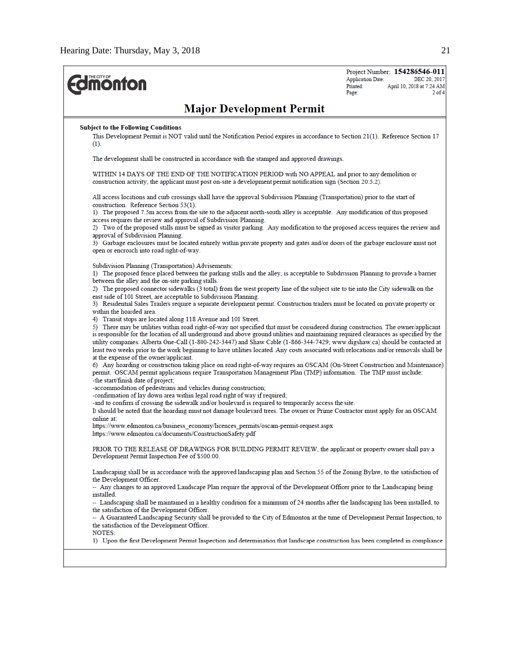| <b>monton</b>                                                                                           |                                                                                                                                                                                                                                                                                                                                                                                                                                                                                                                                                    | Project Number: 154286546-011<br><b>Application Date:</b><br>DEC 20, 2017<br>Printed:<br>April 10, 2018 at 7:24 AM<br>$2$ of $4$<br>Page: |
|---------------------------------------------------------------------------------------------------------|----------------------------------------------------------------------------------------------------------------------------------------------------------------------------------------------------------------------------------------------------------------------------------------------------------------------------------------------------------------------------------------------------------------------------------------------------------------------------------------------------------------------------------------------------|-------------------------------------------------------------------------------------------------------------------------------------------|
|                                                                                                         | <b>Major Development Permit</b>                                                                                                                                                                                                                                                                                                                                                                                                                                                                                                                    |                                                                                                                                           |
| <b>Subject to the Following Conditions</b>                                                              |                                                                                                                                                                                                                                                                                                                                                                                                                                                                                                                                                    |                                                                                                                                           |
| $(1)$ .                                                                                                 | This Development Permit is NOT valid until the Notification Period expires in accordance to Section 21(1). Reference Section 17                                                                                                                                                                                                                                                                                                                                                                                                                    |                                                                                                                                           |
|                                                                                                         | The development shall be constructed in accordance with the stamped and approved drawings.                                                                                                                                                                                                                                                                                                                                                                                                                                                         |                                                                                                                                           |
|                                                                                                         | WITHIN 14 DAYS OF THE END OF THE NOTIFICATION PERIOD with NO APPEAL and prior to any demolition or<br>construction activity, the applicant must post on-site a development permit notification sign (Section 20.5.2).                                                                                                                                                                                                                                                                                                                              |                                                                                                                                           |
| construction. Reference Section 53(1).                                                                  | All access locations and curb crossings shall have the approval Subdivision Planning (Transportation) prior to the start of<br>1) The proposed 7.5m access from the site to the adjacent north-south alley is acceptable. Any modification of this proposed                                                                                                                                                                                                                                                                                        |                                                                                                                                           |
| access requires the review and approval of Subdivision Planning.                                        | 2) Two of the proposed stalls must be signed as visitor parking. Any modification to the proposed access requires the review and                                                                                                                                                                                                                                                                                                                                                                                                                   |                                                                                                                                           |
| approval of Subdivision Planning.                                                                       |                                                                                                                                                                                                                                                                                                                                                                                                                                                                                                                                                    |                                                                                                                                           |
| open or encroach into road right-of-way.                                                                | 3) Garbage enclosures must be located entirely within private property and gates and/or doors of the garbage enclosure must not                                                                                                                                                                                                                                                                                                                                                                                                                    |                                                                                                                                           |
| Subdivision Planning (Transportation) Advisements:<br>between the alley and the on-site parking stalls. | 1) The proposed fence placed between the parking stalls and the alley, is acceptable to Subdivision Planning to provide a barrier                                                                                                                                                                                                                                                                                                                                                                                                                  |                                                                                                                                           |
| east side of 101 Street, are acceptable to Subdivision Planning.                                        | 2) The proposed connector sidewalks (3 total) from the west property line of the subject site to tie into the City sidewalk on the                                                                                                                                                                                                                                                                                                                                                                                                                 |                                                                                                                                           |
| within the hoarded area.                                                                                | 3) Residential Sales Trailers require a separate development permit. Construction trailers must be located on private property or                                                                                                                                                                                                                                                                                                                                                                                                                  |                                                                                                                                           |
| 4) Transit stops are located along 118 Avenue and 101 Street.                                           | 5) There may be utilities within road right-of-way not specified that must be considered during construction. The owner/applicant<br>is responsible for the location of all underground and above ground utilities and maintaining required clearances as specified by the<br>utility companies. Alberta One-Call (1-800-242-3447) and Shaw Cable (1-866-344-7429; www.digshaw.ca) should be contacted at<br>least two weeks prior to the work beginning to have utilities located. Any costs associated with relocations and/or removals shall be |                                                                                                                                           |
| at the expense of the owner/applicant.<br>-the start/finish date of project;                            | 6) Any hoarding or construction taking place on road right-of-way requires an OSCAM (On-Street Construction and Maintenance)<br>permit. OSCAM permit applications require Transportation Management Plan (TMP) information. The TMP must include:                                                                                                                                                                                                                                                                                                  |                                                                                                                                           |
| -accommodation of pedestrians and vehicles during construction;                                         |                                                                                                                                                                                                                                                                                                                                                                                                                                                                                                                                                    |                                                                                                                                           |
| -confirmation of lay down area within legal road right of way if required;<br>online at:                | -and to confirm if crossing the sidewalk and/or boulevard is required to temporarily access the site.<br>It should be noted that the hoarding must not damage boulevard trees. The owner or Prime Contractor must apply for an OSCAM                                                                                                                                                                                                                                                                                                               |                                                                                                                                           |
| https://www.edmonton.ca/documents/ConstructionSafety.pdf                                                | https://www.edmonton.ca/business_economy/licences_permits/oscam-permit-request.aspx                                                                                                                                                                                                                                                                                                                                                                                                                                                                |                                                                                                                                           |
| Development Permit Inspection Fee of \$500.00.                                                          | PRIOR TO THE RELEASE OF DRAWINGS FOR BUILDING PERMIT REVIEW, the applicant or property owner shall pay a                                                                                                                                                                                                                                                                                                                                                                                                                                           |                                                                                                                                           |
| the Development Officer.                                                                                | Landscaping shall be in accordance with the approved landscaping plan and Section 55 of the Zoning Bylaw, to the satisfaction of                                                                                                                                                                                                                                                                                                                                                                                                                   |                                                                                                                                           |
| installed.                                                                                              | -- Any changes to an approved Landscape Plan require the approval of the Development Officer prior to the Landscaping being                                                                                                                                                                                                                                                                                                                                                                                                                        |                                                                                                                                           |
| the satisfaction of the Development Officer.                                                            | -- Landscaping shall be maintained in a healthy condition for a minimum of 24 months after the landscaping has been installed, to                                                                                                                                                                                                                                                                                                                                                                                                                  |                                                                                                                                           |
| the satisfaction of the Development Officer.<br>NOTES:                                                  | -- A Guaranteed Landscaping Security shall be provided to the City of Edmonton at the time of Development Permit Inspection, to                                                                                                                                                                                                                                                                                                                                                                                                                    |                                                                                                                                           |
|                                                                                                         | 1) Upon the first Development Permit Inspection and determination that landscape construction has been completed in compliance                                                                                                                                                                                                                                                                                                                                                                                                                     |                                                                                                                                           |
|                                                                                                         |                                                                                                                                                                                                                                                                                                                                                                                                                                                                                                                                                    |                                                                                                                                           |
|                                                                                                         |                                                                                                                                                                                                                                                                                                                                                                                                                                                                                                                                                    |                                                                                                                                           |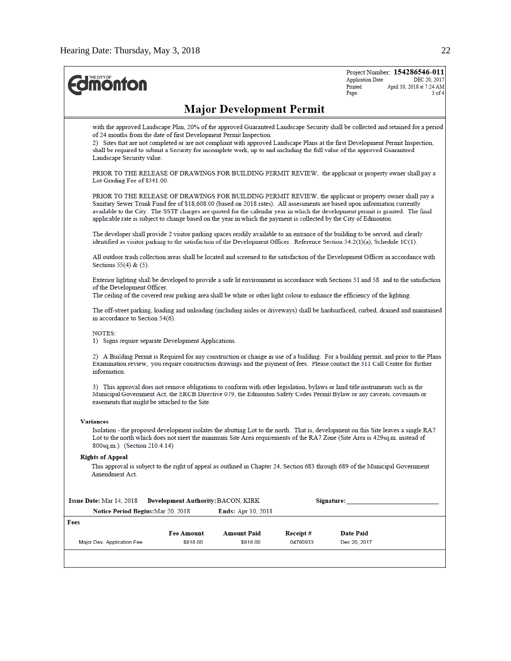|                  | Landscape Security value.<br>Lot Grading Fee of \$341.00.                                                                                                                                                                                                                                           |                                           | <b>Major Development Permit</b><br>of 24 months from the date of first Development Permit Inspection. |          |                                                                                                                                                                                                                                                                                                                                                                                                                                                                                             |  |  |  |
|------------------|-----------------------------------------------------------------------------------------------------------------------------------------------------------------------------------------------------------------------------------------------------------------------------------------------------|-------------------------------------------|-------------------------------------------------------------------------------------------------------|----------|---------------------------------------------------------------------------------------------------------------------------------------------------------------------------------------------------------------------------------------------------------------------------------------------------------------------------------------------------------------------------------------------------------------------------------------------------------------------------------------------|--|--|--|
|                  |                                                                                                                                                                                                                                                                                                     |                                           |                                                                                                       |          |                                                                                                                                                                                                                                                                                                                                                                                                                                                                                             |  |  |  |
|                  |                                                                                                                                                                                                                                                                                                     |                                           |                                                                                                       |          | with the approved Landscape Plan, 20% of the approved Guaranteed Landscape Security shall be collected and retained for a period<br>2) Sites that are not completed or are not compliant with approved Landscape Plans at the first Development Permit Inspection,<br>shall be required to submit a Security for incomplete work, up to and including the full value of the approved Guaranteed                                                                                             |  |  |  |
|                  |                                                                                                                                                                                                                                                                                                     |                                           |                                                                                                       |          | PRIOR TO THE RELEASE OF DRAWINGS FOR BUILDING PERMIT REVIEW, the applicant or property owner shall pay a                                                                                                                                                                                                                                                                                                                                                                                    |  |  |  |
|                  |                                                                                                                                                                                                                                                                                                     |                                           |                                                                                                       |          | PRIOR TO THE RELEASE OF DRAWINGS FOR BUILDING PERMIT REVIEW, the applicant or property owner shall pay a<br>Sanitary Sewer Trunk Fund fee of \$18,608.00 (based on 2018 rates). All assessments are based upon information currently<br>available to the City. The SSTF charges are quoted for the calendar year in which the development permit is granted. The final<br>applicable rate is subject to change based on the year in which the payment is collected by the City of Edmonton. |  |  |  |
|                  |                                                                                                                                                                                                                                                                                                     |                                           |                                                                                                       |          | The developer shall provide 2 visitor parking spaces readily available to an entrance of the building to be served, and clearly<br>identified as visitor parking to the satisfaction of the Development Officer. Reference Section $54.2(1)(a)$ , Schedule $1C(1)$ .                                                                                                                                                                                                                        |  |  |  |
|                  | Sections $55(4)$ & $(5)$ .                                                                                                                                                                                                                                                                          |                                           |                                                                                                       |          | All outdoor trash collection areas shall be located and screened to the satisfaction of the Development Officer in accordance with                                                                                                                                                                                                                                                                                                                                                          |  |  |  |
|                  | Exterior lighting shall be developed to provide a safe lit environment in accordance with Sections 51 and 58 and to the satisfaction<br>of the Development Officer.<br>The ceiling of the covered rear parking area shall be white or other light colour to enhance the efficiency of the lighting. |                                           |                                                                                                       |          |                                                                                                                                                                                                                                                                                                                                                                                                                                                                                             |  |  |  |
|                  | The off-street parking, loading and unloading (including aisles or driveways) shall be hardsurfaced, curbed, drained and maintained<br>in accordance to Section 54(6).                                                                                                                              |                                           |                                                                                                       |          |                                                                                                                                                                                                                                                                                                                                                                                                                                                                                             |  |  |  |
|                  | NOTES:<br>1) Signs require separate Development Applications.                                                                                                                                                                                                                                       |                                           |                                                                                                       |          |                                                                                                                                                                                                                                                                                                                                                                                                                                                                                             |  |  |  |
|                  | information.                                                                                                                                                                                                                                                                                        |                                           |                                                                                                       |          | 2) A Building Permit is Required for any construction or change in use of a building. For a building permit, and prior to the Plans<br>Examination review, you require construction drawings and the payment of fees. Please contact the 311 Call Centre for further                                                                                                                                                                                                                        |  |  |  |
|                  | easements that might be attached to the Site.                                                                                                                                                                                                                                                       |                                           |                                                                                                       |          | 3) This approval does not remove obligations to conform with other legislation, bylaws or land title instruments such as the<br>Municipal Government Act, the ERCB Directive 079, the Edmonton Safety Codes Permit Bylaw or any caveats, covenants or                                                                                                                                                                                                                                       |  |  |  |
| <b>Variances</b> | 800sq.m.). (Section 210.4.14)                                                                                                                                                                                                                                                                       |                                           |                                                                                                       |          | Isolation - the proposed development isolates the abutting Lot to the north. That is, development on this Site leaves a single RA7<br>Lot to the north which does not meet the minimum Site Area requirements of the RA7 Zone (Site Area is 429sq.m. instead of                                                                                                                                                                                                                             |  |  |  |
|                  | <b>Rights of Appeal</b>                                                                                                                                                                                                                                                                             |                                           |                                                                                                       |          |                                                                                                                                                                                                                                                                                                                                                                                                                                                                                             |  |  |  |
|                  | Amendment Act.                                                                                                                                                                                                                                                                                      |                                           |                                                                                                       |          | This approval is subject to the right of appeal as outlined in Chapter 24, Section 683 through 689 of the Municipal Government                                                                                                                                                                                                                                                                                                                                                              |  |  |  |
|                  |                                                                                                                                                                                                                                                                                                     |                                           |                                                                                                       |          |                                                                                                                                                                                                                                                                                                                                                                                                                                                                                             |  |  |  |
|                  | Issue Date: Mar 14, 2018                                                                                                                                                                                                                                                                            | <b>Development Authority: BACON, KIRK</b> |                                                                                                       |          | Signature:                                                                                                                                                                                                                                                                                                                                                                                                                                                                                  |  |  |  |
|                  | Notice Period Begins:Mar 20, 2018                                                                                                                                                                                                                                                                   |                                           | <b>Ends:</b> Apr 10, 2018                                                                             |          |                                                                                                                                                                                                                                                                                                                                                                                                                                                                                             |  |  |  |
| Fees             |                                                                                                                                                                                                                                                                                                     |                                           |                                                                                                       |          |                                                                                                                                                                                                                                                                                                                                                                                                                                                                                             |  |  |  |
|                  |                                                                                                                                                                                                                                                                                                     | <b>Fee Amount</b>                         | <b>Amount Paid</b>                                                                                    | Receipt# | <b>Date Paid</b>                                                                                                                                                                                                                                                                                                                                                                                                                                                                            |  |  |  |
|                  | Major Dev. Application Fee                                                                                                                                                                                                                                                                          | \$818.00                                  | \$818.00                                                                                              | 04700933 | Dec 20, 2017                                                                                                                                                                                                                                                                                                                                                                                                                                                                                |  |  |  |
|                  |                                                                                                                                                                                                                                                                                                     |                                           |                                                                                                       |          |                                                                                                                                                                                                                                                                                                                                                                                                                                                                                             |  |  |  |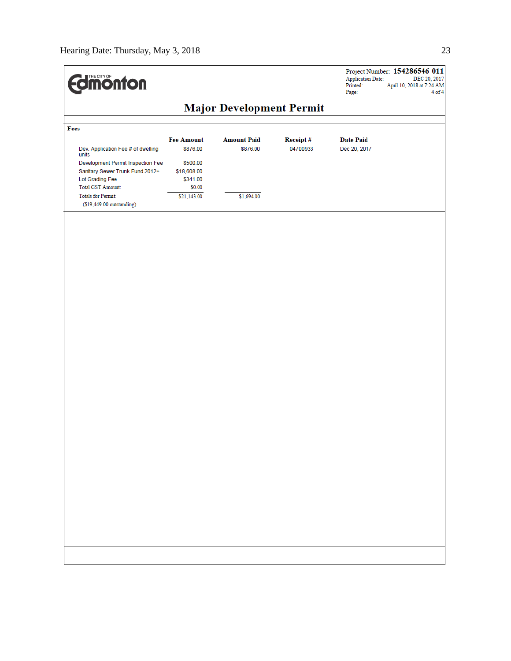| <b>dinonton</b>                             |                                 |                    |          | Project Number: 154286546-011<br><b>Application Date:</b><br>DEC 20, 2017<br>Printed:<br>April 10, 2018 at 7:24 AM<br>Page:<br>$4$ of $4$ |
|---------------------------------------------|---------------------------------|--------------------|----------|-------------------------------------------------------------------------------------------------------------------------------------------|
|                                             | <b>Major Development Permit</b> |                    |          |                                                                                                                                           |
| Fees                                        |                                 |                    |          |                                                                                                                                           |
|                                             | <b>Fee Amount</b>               | <b>Amount Paid</b> | Receipt# | <b>Date Paid</b>                                                                                                                          |
| Dev. Application Fee # of dwelling<br>units | \$876.00                        | \$876.00           | 04700933 | Dec 20, 2017                                                                                                                              |
| Development Permit Inspection Fee           | \$500.00                        |                    |          |                                                                                                                                           |
| Sanitary Sewer Trunk Fund 2012+             | \$18,608.00                     |                    |          |                                                                                                                                           |
| Lot Grading Fee                             | \$341.00                        |                    |          |                                                                                                                                           |
| <b>Total GST Amount:</b>                    | \$0.00                          |                    |          |                                                                                                                                           |
| <b>Totals for Permit:</b>                   | \$21,143.00                     | \$1,694.00         |          |                                                                                                                                           |
| (\$19,449.00 outstanding)                   |                                 |                    |          |                                                                                                                                           |
|                                             |                                 |                    |          |                                                                                                                                           |
|                                             |                                 |                    |          |                                                                                                                                           |
|                                             |                                 |                    |          |                                                                                                                                           |